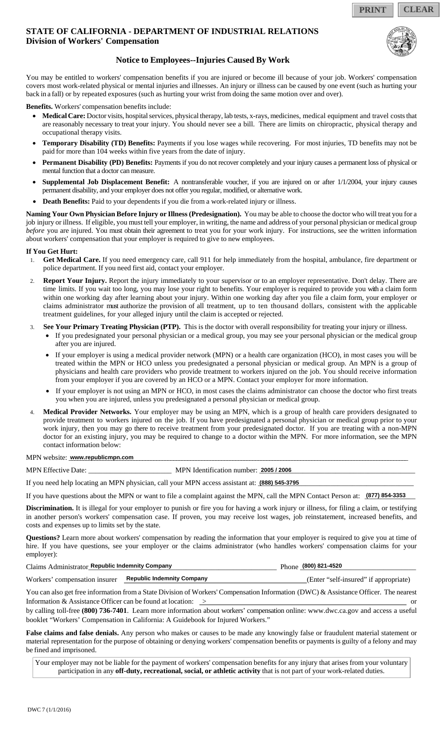**PRINT CLEAR**

## **STATE OF CALIFORNIA - DEPARTMENT OF INDUSTRIAL RELATIONS Division of Workers' Compensation**



## **Notice to Employees--Injuries Caused By Work**

You may be entitled to workers' compensation benefits if you are injured or become ill because of your job. Workers' compensation covers most work-related physical or mental injuries and illnesses. An injury or illness can be caused by one event (such as hurting your back in a fall) or by repeated exposures (such as hurting your wrist from doing the same motion over and over).

**Benefits.** Workers' compensation benefits include:

- **Medical Care:** Doctor visits, hospital services, physical therapy, lab tests, x-rays, medicines, medical equipment and travel costs that are reasonably necessary to treat your injury. You should never see a bill. There are limits on chiropractic, physical therapy and occupational therapy visits.
- **Temporary Disability (TD) Benefits:** Payments if you lose wages while recovering. For most injuries, TD benefits may not be paid for more than 104 weeks within five years from the date of injury.
- **Permanent Disability (PD) Benefits:** Payments if you do not recover completely and your injury causes a permanent loss of physical or mental function that a doctor can measure.
- **Supplemental Job Displacement Benefit:** A nontransferable voucher, if you are injured on or after 1/1/2004, your injury causes permanent disability, and your employer does not offer you regular, modified, or alternative work.
- **Death Benefits:** Paid to your dependents if you die from a work-related injury or illness.

**Naming Your Own Physician Before Injury or Illness (Predesignation).** You may be able to choose the doctor who will treat you for a job injury or illness. If eligible, you must tell your employer, in writing, the name and address of your personal physician or medical group *before* you are injured. You must obtain their agreement to treat you for your work injury. For instructions, see the written information about workers' compensation that your employer is required to give to new employees.

#### **If You Get Hurt:**

- 1. **Get Medical Care.** If you need emergency care, call 911 for help immediately from the hospital, ambulance, fire department or police department. If you need first aid, contact your employer.
- Report Your Injury. Report the injury immediately to your supervisor or to an employer representative. Don't delay. There are time limits. If you wait too long, you may lose your right to benefits. Your employer is required to provide you with a claim form within one working day after learning about your injury. Within one working day after you file a claim form, your employer or claims administrator must authorize the provision of all treatment, up to ten thousand dollars, consistent with the applicable treatment guidelines, for your alleged injury until the claim is accepted or rejected.
- 3. **See Your Primary Treating Physician (PTP).** This is the doctor with overall responsibility for treating your injury or illness.
	- If you predesignated your personal physician or a medical group, you may see your personal physician or the medical group after you are injured.
	- If your employer is using a medical provider network (MPN) or a health care organization (HCO), in most cases you will be treated within the MPN or HCO unless you predesignated a personal physician or medical group. An MPN is a group of physicians and health care providers who provide treatment to workers injured on the job. You should receive information from your employer if you are covered by an HCO or a MPN. Contact your employer for more information.
	- If your employer is not using an MPN or HCO, in most cases the claims administrator can choose the doctor who first treats you when you are injured, unless you predesignated a personal physician or medical group.
- 4. **Medical Provider Networks.** Your employer may be using an MPN, which is a group of health care providers designated to provide treatment to workers injured on the job. If you have predesignated a personal physician or medical group prior to your work injury, then you may go there to receive treatment from your predesignated doctor. If you are treating with a non-MPN doctor for an existing injury, you may be required to change to a doctor within the MPN. For more information, see the MPN contact information below:

 $MPN$  website: www.republicmpn.com

MPN Effective Date: \_\_\_\_\_\_\_\_\_\_\_\_\_\_\_\_\_\_\_\_\_\_\_ MPN Identification number: \_\_\_\_\_\_\_\_\_\_\_\_\_\_\_\_\_\_\_\_\_\_\_\_\_\_\_\_\_\_\_\_\_\_\_\_\_\_\_\_\_\_\_ **2005 / 2006**

If you need help locating an MPN physician, call your MPN access assistant at: **1888) 545-3795** 

If you have questions about the MPN or want to file a complaint against the MPN, call the MPN Contact Person at:  $\frac{1877}{854-3353}$ 

**Discrimination.** It is illegal for your employer to punish or fire you for having a work injury or illness, for filing a claim, or testifying in another person's workers' compensation case. If proven, you may receive lost wages, job reinstatement, increased benefits, and costs and expenses up to limits set by the state.

**Questions?** Learn more about workers' compensation by reading the information that your employer is required to give you at time of hire. If you have questions, see your employer or the claims administrator (who handles workers' compensation claims for your employer):

| Claims Administrator Republic Indemnity Company |                                   | Phone (800) 821-4520                  |
|-------------------------------------------------|-----------------------------------|---------------------------------------|
| Workers' compensation insurer                   | <b>Republic Indemnity Company</b> | (Enter "self-insured" if appropriate) |

You can also get free information from a State Division of Workers' Compensation Information (DWC) & Assistance Officer. The nearest Information & Assistance Officer can be found at location:  $\geq$  or  $\geq$  or  $\geq$  or  $\geq$  or  $\geq$  or  $\geq$  or  $\geq$  or  $\geq$  or  $\geq$  or  $\geq$  or  $\geq$  or  $\geq$  or  $\geq$  or  $\geq$  or  $\geq$  or  $\geq$  or  $\geq$  or  $\geq$  or

by calling toll-free **(800) 736-7401**. Learn more information about workers' compensation online: www.dwc.ca.gov and access a useful booklet "Workers' Compensation in California: A Guidebook for Injured Workers."

**False claims and false denials.** Any person who makes or causes to be made any knowingly false or fraudulent material statement or material representation for the purpose of obtaining or denying workers' compensation benefits or payments is guilty of a felony and may be fined and imprisoned.

Your employer may not be liable for the payment of workers' compensation benefits for any injury that arises from your voluntary participation in any **off-duty, recreational, social, or athletic activity** that is not part of your work-related duties.